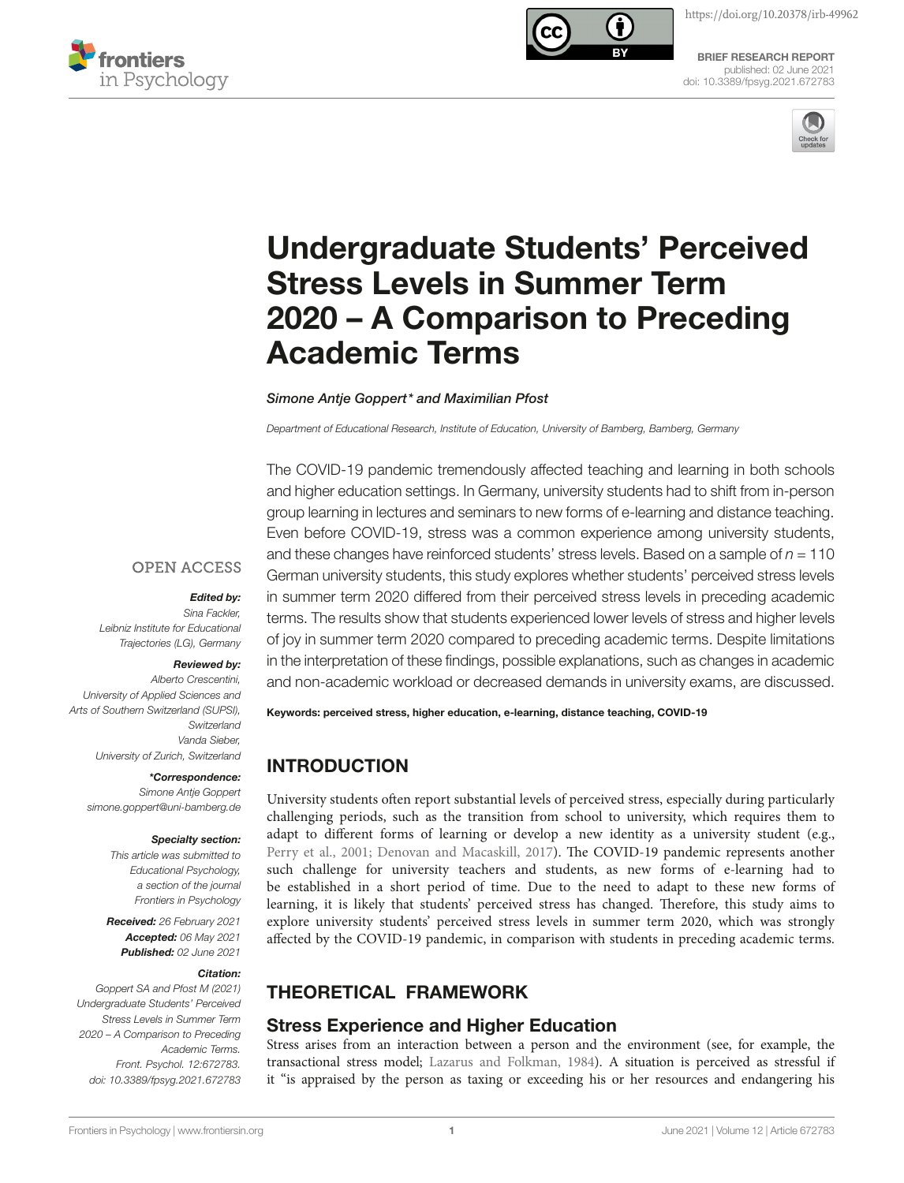



[BRIEF RESEARCH REPORT](https://www.frontiersin.org/journals/psychology#editorial-board) [published: 02 June 2021](https://www.frontiersin.org/journals/psychology#editorial-board) [doi: 10.3389/fpsyg.2021.672783](https://doi.org/10.3389/fpsyg.2021.672783)



# [Undergraduate Students' Perceived](https://www.frontiersin.org/articles/10.3389/fpsyg.2021.672783/full)  [Stress Levels in Summer Term](https://www.frontiersin.org/articles/10.3389/fpsyg.2021.672783/full)  [2020 – A Comparison to Preceding](https://www.frontiersin.org/articles/10.3389/fpsyg.2021.672783/full)  [Academic Terms](https://www.frontiersin.org/articles/10.3389/fpsyg.2021.672783/full)

*Simone Antje Goppert\* and Maximilian Pfost*

*Department of Educational Research, Institute of Education, University of Bamberg, Bamberg, Germany*

The COVID-19 pandemic tremendously affected teaching and learning in both schools and higher education settings. In Germany, university students had to shift from in-person group learning in lectures and seminars to new forms of e-learning and distance teaching. Even before COVID-19, stress was a common experience among university students, and these changes have reinforced students' stress levels. Based on a sample of *n* = 110 German university students, this study explores whether students' perceived stress levels in summer term 2020 differed from their perceived stress levels in preceding academic terms. The results show that students experienced lower levels of stress and higher levels of joy in summer term 2020 compared to preceding academic terms. Despite limitations in the interpretation of these fndings, possible explanations, such as changes in academic and non-academic workload or decreased demands in university exams, are discussed.

### **OPEN ACCESS**

#### *Edited by:*

*Sina Fackler, Leibniz Institute for Educational Trajectories (LG), Germany*

#### *Reviewed by:*

*Alberto Crescentini, University of Applied Sciences and Arts of Southern Switzerland (SUPSI), Switzerland Vanda Sieber, University of Zurich, Switzerland*

#### *\*Correspondence:*

*Simone Antje Goppert [simone.goppert@uni-bamberg.de](mailto:simone.goppert@uni-bamberg.de)*

#### *Specialty section:*

*This article was submitted to Educational Psychology, a section of the journal Frontiers in Psychology*

*Received: 26 February 2021 Accepted: 06 May 2021 Published: 02 June 2021*

#### *Citation:*

*Goppert SA and Pfost M (2021) Undergraduate Students' Perceived Stress Levels in Summer Term 2020 – A Comparison to Preceding Academic Terms. Front. Psychol. 12:672783. [doi: 10.3389/fpsyg.2021.672783](https://doi.org/10.3389/fpsyg.2021.672783)*

Keywords: perceived stress, higher education, e-learning, distance teaching, COVID-19

# INTRODUCTION

University students ofen report substantial levels of perceived stress, especially during particularly challenging periods, such as the transition from school to university, which requires them to adapt to diferent forms of learning or develop a new identity as a university student (e.g., Perry et al., 2001; [Denovan and Macaskill, 2017](#page-5-1)). The COVID-19 pandemic represents another such challenge for university teachers and students, as new forms of e-learning had to be established in a short period of time. Due to the need to adapt to these new forms of learning, it is likely that students' perceived stress has changed. Therefore, this study aims to explore university students' perceived stress levels in summer term 2020, which was strongly afected by the COVID-19 pandemic, in comparison with students in preceding academic terms.

# THEORETICAL FRAMEWORK

### Stress Experience and Higher Education

Stress arises from an interaction between a person and the environment (see, for example, the transactional stress model; [Lazarus and Folkman, 1984\)](#page-5-2). A situation is perceived as stressful if it "is appraised by the person as taxing or exceeding his or her resources and endangering his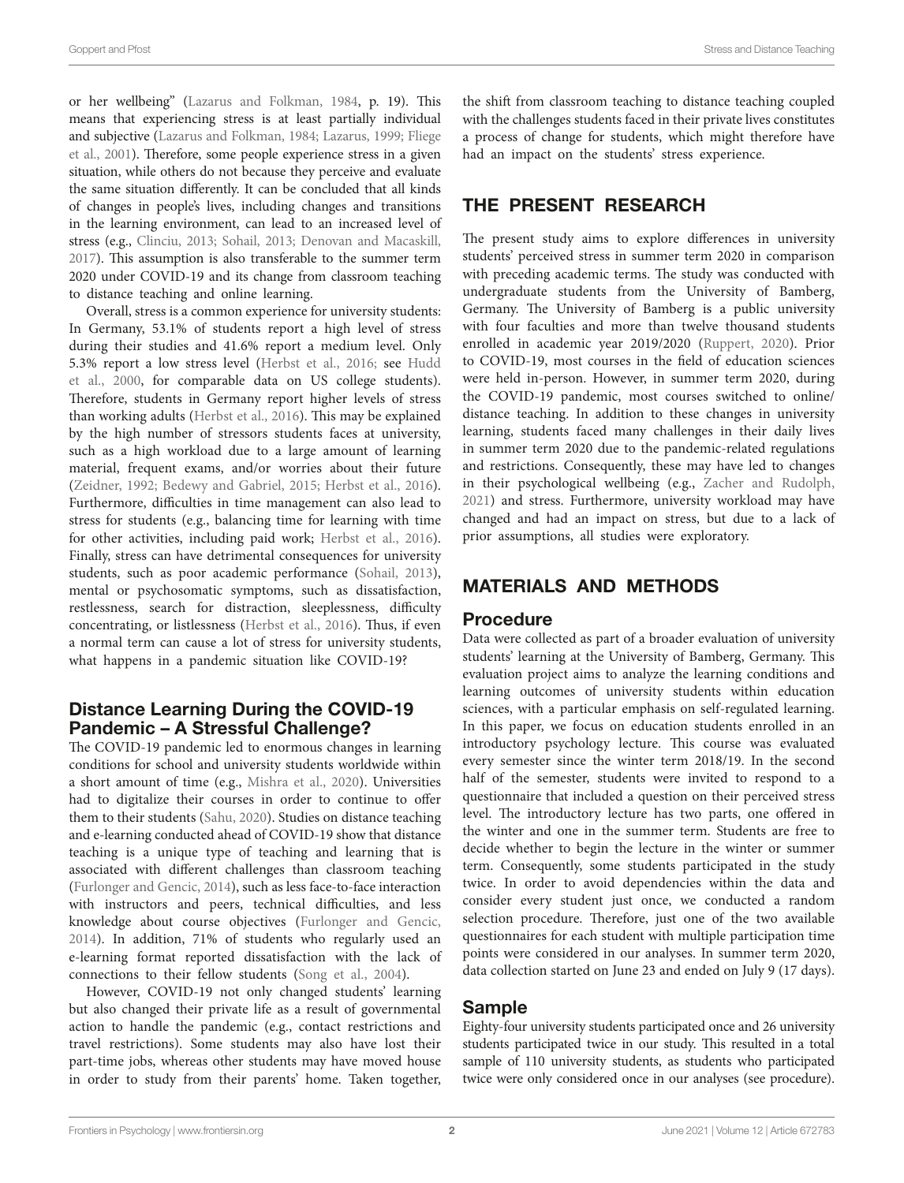or her wellbeing" ([Lazarus and Folkman, 1984,](#page-5-2) p. 19). Tis means that experiencing stress is at least partially individual and subjective [\(Lazarus and Folkman, 1984;](#page-5-2) [Lazarus, 1999;](#page-5-3) [Fliege](#page-5-4)  [et al., 2001\)](#page-5-4). Therefore, some people experience stress in a given situation, while others do not because they perceive and evaluate the same situation diferently. It can be concluded that all kinds of changes in people's lives, including changes and transitions in the learning environment, can lead to an increased level of stress (e.g., [Clinciu, 2013;](#page-5-5) [Sohail, 2013;](#page-5-6) [Denovan and Macaskill,](#page-5-1)  [2017](#page-5-1)). This assumption is also transferable to the summer term 2020 under COVID-19 and its change from classroom teaching to distance teaching and online learning.

Overall, stress is a common experience for university students: In Germany, 53.1% of students report a high level of stress during their studies and 41.6% report a medium level. Only 5.3% report a low stress level ([Herbst et al., 2016](#page-5-7); see [Hudd](#page-5-8)  [et al., 2000,](#page-5-8) for comparable data on US college students). Therefore, students in Germany report higher levels of stress than working adults ([Herbst et al., 2016](#page-5-7)). This may be explained by the high number of stressors students faces at university, such as a high workload due to a large amount of learning material, frequent exams, and/or worries about their future ([Zeidner, 1992;](#page-5-9) [Bedewy and Gabriel, 2015;](#page-5-10) [Herbst et al., 2016](#page-5-7)). Furthermore, difficulties in time management can also lead to stress for students (e.g., balancing time for learning with time for other activities, including paid work; [Herbst et al., 2016](#page-5-7)). Finally, stress can have detrimental consequences for university students, such as poor academic performance ([Sohail, 2013](#page-5-6)), mental or psychosomatic symptoms, such as dissatisfaction, restlessness, search for distraction, sleeplessness, difficulty concentrating, or listlessness [\(Herbst et al., 2016](#page-5-7)). Thus, if even a normal term can cause a lot of stress for university students, what happens in a pandemic situation like COVID-19?

### Distance Learning During the COVID-19 Pandemic – A Stressful Challenge?

The COVID-19 pandemic led to enormous changes in learning conditions for school and university students worldwide within a short amount of time (e.g., [Mishra et al., 2020\)](#page-5-11). Universities had to digitalize their courses in order to continue to offer them to their students ([Sahu, 2020\)](#page-5-12). Studies on distance teaching and e-learning conducted ahead of COVID-19 show that distance teaching is a unique type of teaching and learning that is associated with diferent challenges than classroom teaching ([Furlonger and Gencic, 2014](#page-5-13)), such as less face-to-face interaction with instructors and peers, technical difficulties, and less knowledge about course objectives ([Furlonger and Gencic,](#page-5-13)  [2014\)](#page-5-13). In addition, 71% of students who regularly used an e-learning format reported dissatisfaction with the lack of connections to their fellow students ([Song et al., 2004\)](#page-5-14).

However, COVID-19 not only changed students' learning but also changed their private life as a result of governmental action to handle the pandemic (e.g., contact restrictions and travel restrictions). Some students may also have lost their part-time jobs, whereas other students may have moved house in order to study from their parents' home. Taken together,

the shift from classroom teaching to distance teaching coupled with the challenges students faced in their private lives constitutes a process of change for students, which might therefore have had an impact on the students' stress experience.

### THE PRESENT RESEARCH

The present study aims to explore differences in university students' perceived stress in summer term 2020 in comparison with preceding academic terms. The study was conducted with undergraduate students from the University of Bamberg, Germany. The University of Bamberg is a public university with four faculties and more than twelve thousand students enrolled in academic year 2019/2020 [\(Ruppert, 2020\)](#page-5-15). Prior to COVID-19, most courses in the feld of education sciences were held in-person. However, in summer term 2020, during the COVID-19 pandemic, most courses switched to online/ distance teaching. In addition to these changes in university learning, students faced many challenges in their daily lives in summer term 2020 due to the pandemic-related regulations and restrictions. Consequently, these may have led to changes in their psychological wellbeing (e.g., [Zacher and Rudolph,](#page-5-16)  [2021\)](#page-5-16) and stress. Furthermore, university workload may have changed and had an impact on stress, but due to a lack of prior assumptions, all studies were exploratory.

# MATERIALS AND METHODS

### Procedure

Data were collected as part of a broader evaluation of university students' learning at the University of Bamberg, Germany. This evaluation project aims to analyze the learning conditions and learning outcomes of university students within education sciences, with a particular emphasis on self-regulated learning. In this paper, we focus on education students enrolled in an introductory psychology lecture. This course was evaluated every semester since the winter term 2018/19. In the second half of the semester, students were invited to respond to a questionnaire that included a question on their perceived stress level. The introductory lecture has two parts, one offered in the winter and one in the summer term. Students are free to decide whether to begin the lecture in the winter or summer term. Consequently, some students participated in the study twice. In order to avoid dependencies within the data and consider every student just once, we conducted a random selection procedure. Therefore, just one of the two available questionnaires for each student with multiple participation time points were considered in our analyses. In summer term 2020, data collection started on June 23 and ended on July 9 (17 days).

### Sample

Eighty-four university students participated once and 26 university students participated twice in our study. This resulted in a total sample of 110 university students, as students who participated twice were only considered once in our analyses (see procedure).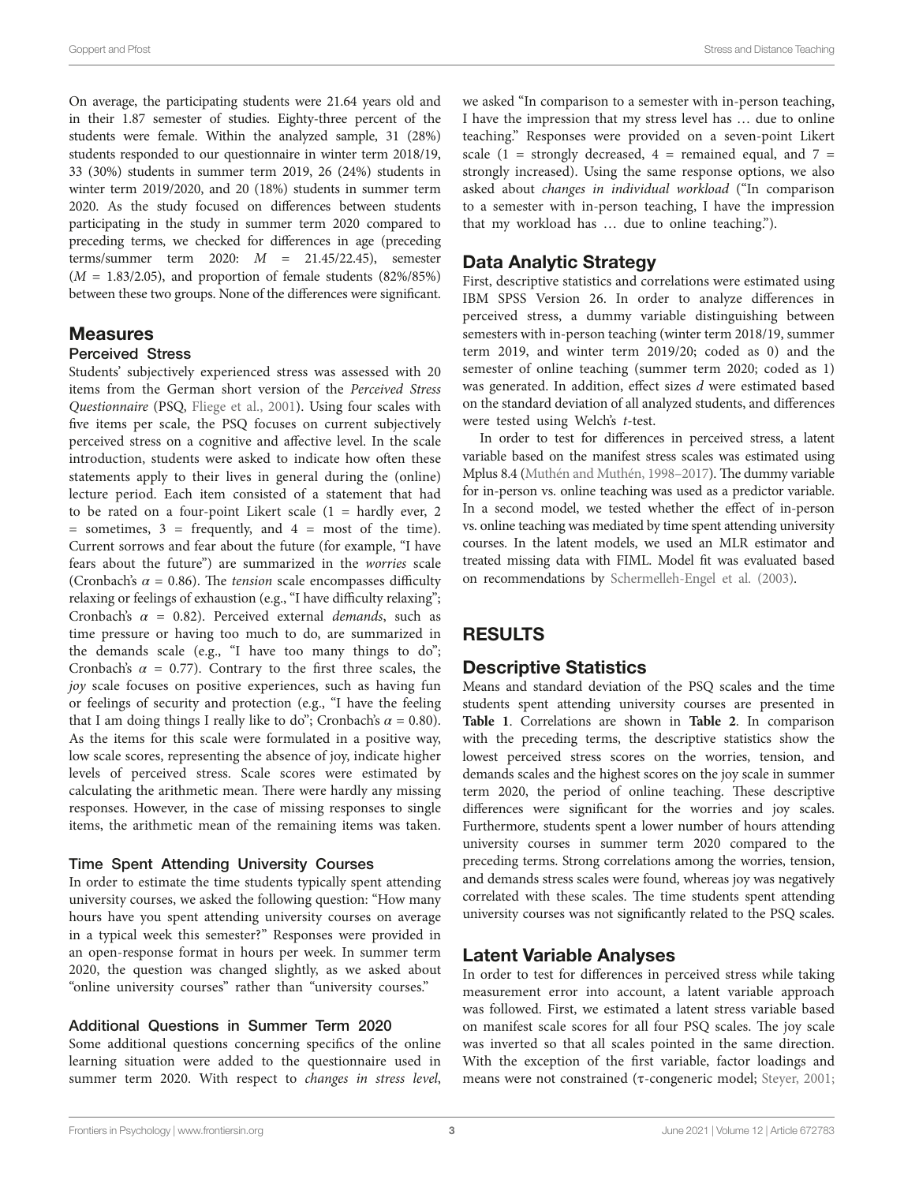On average, the participating students were 21.64 years old and in their 1.87 semester of studies. Eighty-three percent of the students were female. Within the analyzed sample, 31 (28%) students responded to our questionnaire in winter term 2018/19, 33 (30%) students in summer term 2019, 26 (24%) students in winter term 2019/2020, and 20 (18%) students in summer term 2020. As the study focused on diferences between students participating in the study in summer term 2020 compared to preceding terms, we checked for diferences in age (preceding terms/summer term 2020: *M* = 21.45/22.45), semester  $(M = 1.83/2.05)$ , and proportion of female students  $(82\%/85\%)$ between these two groups. None of the diferences were signifcant.

### Measures

### Perceived Stress

Students' subjectively experienced stress was assessed with 20 items from the German short version of the *Perceived Stress Questionnaire* (PSQ, [Fliege et al., 2001\)](#page-5-4). Using four scales with five items per scale, the PSQ focuses on current subjectively perceived stress on a cognitive and afective level. In the scale introduction, students were asked to indicate how ofen these statements apply to their lives in general during the (online) lecture period. Each item consisted of a statement that had to be rated on a four-point Likert scale  $(1 = \text{hardly ever}, 2)$  $=$  sometimes,  $3 =$  frequently, and  $4 =$  most of the time). Current sorrows and fear about the future (for example, "I have fears about the future") are summarized in the *worries* scale (Cronbach's  $\alpha$  = 0.86). The *tension* scale encompasses difficulty relaxing or feelings of exhaustion (e.g., "I have difficulty relaxing"; Cronbach's *α* = 0.82). Perceived external *demands*, such as time pressure or having too much to do, are summarized in the demands scale (e.g., "I have too many things to do"; Cronbach's  $\alpha$  = 0.77). Contrary to the first three scales, the *joy* scale focuses on positive experiences, such as having fun or feelings of security and protection (e.g., "I have the feeling that I am doing things I really like to do"; Cronbach's  $\alpha = 0.80$ ). As the items for this scale were formulated in a positive way, low scale scores, representing the absence of joy, indicate higher levels of perceived stress. Scale scores were estimated by calculating the arithmetic mean. There were hardly any missing responses. However, in the case of missing responses to single items, the arithmetic mean of the remaining items was taken.

#### Time Spent Attending University Courses

In order to estimate the time students typically spent attending university courses, we asked the following question: "How many hours have you spent attending university courses on average in a typical week this semester?" Responses were provided in an open-response format in hours per week. In summer term 2020, the question was changed slightly, as we asked about "online university courses" rather than "university courses."

### Additional Questions in Summer Term 2020

Some additional questions concerning specifcs of the online learning situation were added to the questionnaire used in summer term 2020. With respect to *changes in stress level*, we asked "In comparison to a semester with in-person teaching, I have the impression that my stress level has … due to online teaching." Responses were provided on a seven-point Likert scale (1 = strongly decreased, 4 = remained equal, and  $7 =$ strongly increased). Using the same response options, we also asked about *changes in individual workload* ("In comparison to a semester with in-person teaching, I have the impression that my workload has … due to online teaching.").

### Data Analytic Strategy

First, descriptive statistics and correlations were estimated using IBM SPSS Version 26. In order to analyze diferences in perceived stress, a dummy variable distinguishing between semesters with in-person teaching (winter term 2018/19, summer term 2019, and winter term 2019/20; coded as 0) and the semester of online teaching (summer term 2020; coded as 1) was generated. In addition, efect sizes *d* were estimated based on the standard deviation of all analyzed students, and diferences were tested using Welch's *t*-test.

In order to test for diferences in perceived stress, a latent variable based on the manifest stress scales was estimated using Mplus 8.4 [\(Muthén and Muthén, 1998–2017\)](#page-5-17). The dummy variable for in-person vs. online teaching was used as a predictor variable. In a second model, we tested whether the effect of in-person vs. online teaching was mediated by time spent attending university courses. In the latent models, we used an MLR estimator and treated missing data with FIML. Model ft was evaluated based on recommendations by [Schermelleh-Engel et al. \(2003\).](#page-5-18)

### RESULTS

### Descriptive Statistics

Means and standard deviation of the PSQ scales and the time students spent attending university courses are presented in **[Table 1](#page-3-0)**. Correlations are shown in **[Table 2](#page-3-1)**. In comparison with the preceding terms, the descriptive statistics show the lowest perceived stress scores on the worries, tension, and demands scales and the highest scores on the joy scale in summer term 2020, the period of online teaching. These descriptive diferences were signifcant for the worries and joy scales. Furthermore, students spent a lower number of hours attending university courses in summer term 2020 compared to the preceding terms. Strong correlations among the worries, tension, and demands stress scales were found, whereas joy was negatively correlated with these scales. The time students spent attending university courses was not signifcantly related to the PSQ scales.

### Latent Variable Analyses

In order to test for diferences in perceived stress while taking measurement error into account, a latent variable approach was followed. First, we estimated a latent stress variable based on manifest scale scores for all four PSQ scales. The joy scale was inverted so that all scales pointed in the same direction. With the exception of the frst variable, factor loadings and means were not constrained (τ-congeneric model; [Steyer, 2001;](#page-5-19)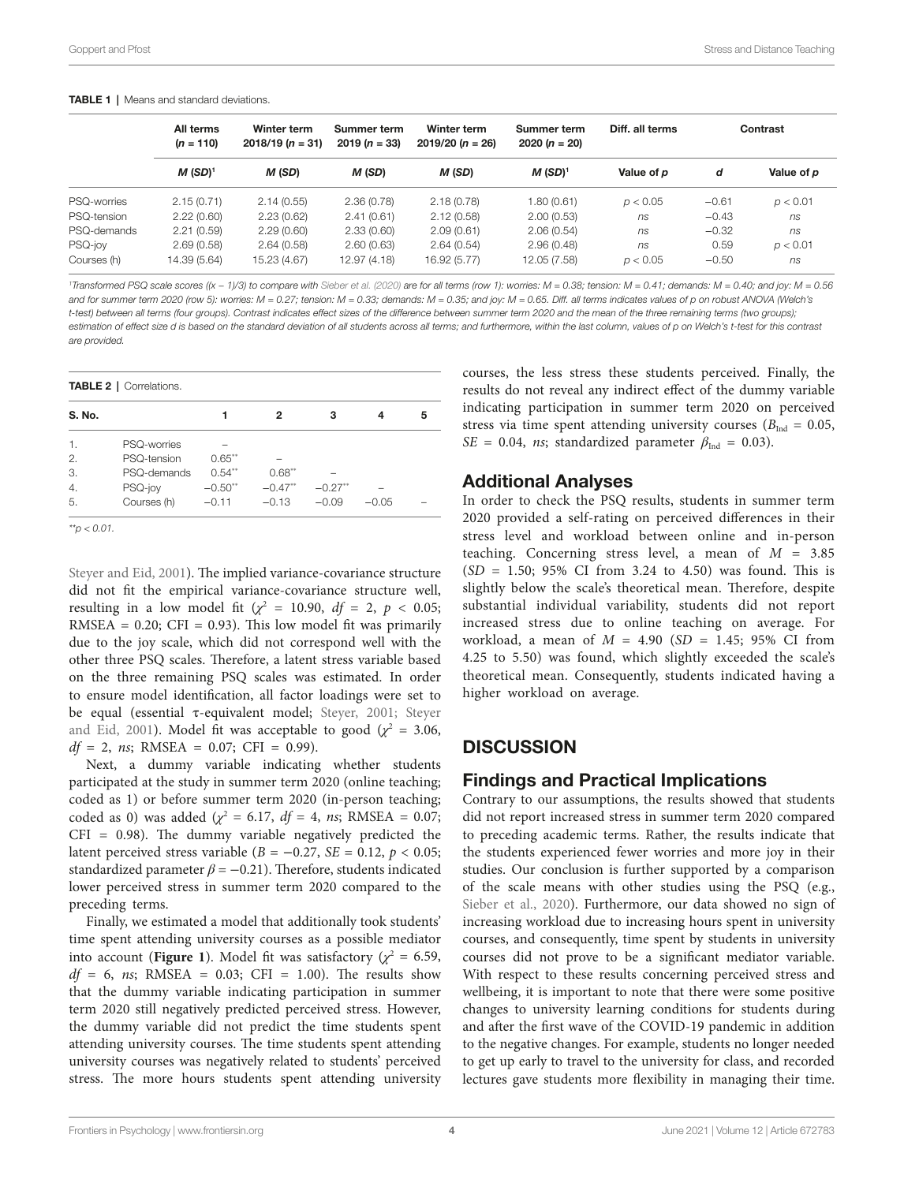<span id="page-3-0"></span>

| <b>TABLE 1</b>   Means and standard deviations. |
|-------------------------------------------------|
|-------------------------------------------------|

|             | All terms<br>$(n = 110)$ | Winter term<br>$2018/19 (n = 31)$ | Summer term<br>$2019(n = 33)$ | Winter term<br>$2019/20 (n = 26)$ | Summer term<br>$2020 (n = 20)$ | Diff. all terms | Contrast |            |
|-------------|--------------------------|-----------------------------------|-------------------------------|-----------------------------------|--------------------------------|-----------------|----------|------------|
|             | $M$ (SD) <sup>1</sup>    | M (SD)                            | M (SD)                        | M (SD)                            | $M$ (SD) <sup>1</sup>          | Value of p      | d        | Value of p |
| PSQ-worries | 2.15(0.71)               | 2.14(0.55)                        | 2.36(0.78)                    | 2.18(0.78)                        | 1.80 (0.61)                    | p < 0.05        | $-0.61$  | p < 0.01   |
| PSQ-tension | 2.22(0.60)               | 2.23(0.62)                        | 2.41(0.61)                    | 2.12(0.58)                        | 2.00(0.53)                     | ns              | $-0.43$  | ns         |
| PSQ-demands | 2.21(0.59)               | 2.29(0.60)                        | 2.33(0.60)                    | 2.09(0.61)                        | 2.06(0.54)                     | ns              | $-0.32$  | ns         |
| PSQ-joy     | 2.69(0.58)               | 2.64(0.58)                        | 2.60(0.63)                    | 2.64(0.54)                        | 2.96(0.48)                     | ns              | 0.59     | p < 0.01   |
| Courses (h) | 14.39 (5.64)             | 15.23 (4.67)                      | 12.97 (4.18)                  | 16.92 (5.77)                      | 12.05 (7.58)                   | p < 0.05        | $-0.50$  | ns         |

*1 Transformed PSQ scale scores ((x − 1)/3) to compare with [Sieber et al. \(2020\)](#page-5-21) are for all terms (row 1): worries: M = 0.38; tension: M = 0.41; demands: M = 0.40; and joy: M = 0.56 and for summer term 2020 (row 5): worries: M = 0.27; tension: M = 0.33; demands: M = 0.35; and joy: M = 0.65. Diff. all terms indicates values of p on robust ANOVA (Welch's t-test) between all terms (four groups). Contrast indicates effect sizes of the difference between summer term 2020 and the mean of the three remaining terms (two groups);*  estimation of effect size d is based on the standard deviation of all students across all terms; and furthermore, within the last column, values of p on Welch's t-test for this contrast *are provided.*

<span id="page-3-1"></span>TABLE 2 | Correlations.

| S. No.         |             |           | 2         | з         |         | 5 |
|----------------|-------------|-----------|-----------|-----------|---------|---|
| 1.             | PSQ-worries |           |           |           |         |   |
| 2.             | PSO-tension | $0.65***$ |           |           |         |   |
| 3.             | PSQ-demands | $0.54***$ | $0.68***$ |           |         |   |
| $\overline{4}$ | PSQ-joy     | $-0.50**$ | $-0.47**$ | $-0.27**$ |         |   |
| 5.             | Courses (h) | $-0.11$   | $-0.13$   | $-0.09$   | $-0.05$ |   |

*\*\*p < 0.01.*

[Steyer and Eid, 2001\)](#page-5-20). The implied variance-covariance structure did not ft the empirical variance-covariance structure well, resulting in a low model fit  $(\chi^2 = 10.90, df = 2, p < 0.05;$  $RMSEA = 0.20$ ; CFI = 0.93). This low model fit was primarily due to the joy scale, which did not correspond well with the other three PSQ scales. Therefore, a latent stress variable based on the three remaining PSQ scales was estimated. In order to ensure model identifcation, all factor loadings were set to be equal (essential  $\tau$ -equivalent model; [Steyer, 2001;](#page-5-19) Steyer [and Eid, 2001](#page-5-20)). Model fit was acceptable to good  $(\chi^2 = 3.06,$  $df = 2$ , *ns*; RMSEA = 0.07; CFI = 0.99).

Next, a dummy variable indicating whether students participated at the study in summer term 2020 (online teaching; coded as 1) or before summer term 2020 (in-person teaching; coded as 0) was added ( $\chi^2 = 6.17$ ,  $df = 4$ , *ns*; RMSEA = 0.07;  $CFI = 0.98$ ). The dummy variable negatively predicted the latent perceived stress variable ( $B = -0.27$ ,  $SE = 0.12$ ,  $p < 0.05$ ; standardized parameter  $\beta = -0.21$ ). Therefore, students indicated lower perceived stress in summer term 2020 compared to the preceding terms.

Finally, we estimated a model that additionally took students' time spent attending university courses as a possible mediator into account (**Figure 1**). Model fit was satisfactory ( $\chi^2 = 6.59$ , *df* = 6, *ns*; RMSEA = 0.03; CFI = 1.00). The results show that the dummy variable indicating participation in summer term 2020 still negatively predicted perceived stress. However, the dummy variable did not predict the time students spent attending university courses. The time students spent attending university courses was negatively related to students' perceived stress. The more hours students spent attending university

courses, the less stress these students perceived. Finally, the results do not reveal any indirect efect of the dummy variable indicating participation in summer term 2020 on perceived stress via time spent attending university courses ( $B_{\text{Ind}} = 0.05$ ,  $SE = 0.04$ , *ns*; standardized parameter  $\beta_{Ind} = 0.03$ ).

### Additional Analyses

In order to check the PSQ results, students in summer term 2020 provided a self-rating on perceived diferences in their stress level and workload between online and in-person teaching. Concerning stress level, a mean of *M* = 3.85  $(SD = 1.50; 95\% \text{ CI from } 3.24 \text{ to } 4.50)$  was found. This is slightly below the scale's theoretical mean. Therefore, despite substantial individual variability, students did not report increased stress due to online teaching on average. For workload, a mean of *M* = 4.90 (*SD* = 1.45; 95% CI from 4.25 to 5.50) was found, which slightly exceeded the scale's theoretical mean. Consequently, students indicated having a higher workload on average.

### **DISCUSSION**

### Findings and Practical Implications

Contrary to our assumptions, the results showed that students did not report increased stress in summer term 2020 compared to preceding academic terms. Rather, the results indicate that the students experienced fewer worries and more joy in their studies. Our conclusion is further supported by a comparison of the scale means with other studies using the PSQ (e.g., [Sieber et al., 2020\)](#page-5-21). Furthermore, our data showed no sign of increasing workload due to increasing hours spent in university courses, and consequently, time spent by students in university courses did not prove to be a signifcant mediator variable. With respect to these results concerning perceived stress and wellbeing, it is important to note that there were some positive changes to university learning conditions for students during and afer the frst wave of the COVID-19 pandemic in addition to the negative changes. For example, students no longer needed to get up early to travel to the university for class, and recorded lectures gave students more fexibility in managing their time.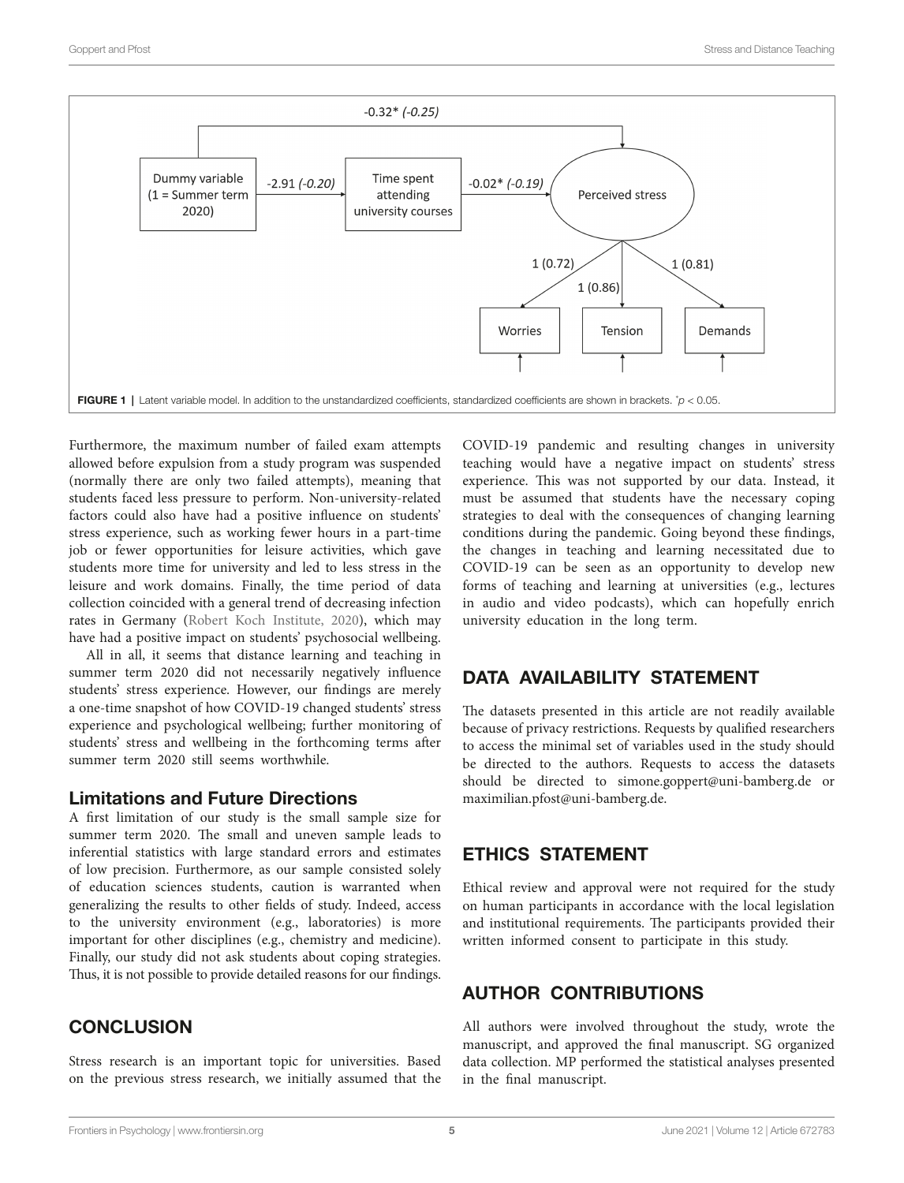<span id="page-4-0"></span>

Furthermore, the maximum number of failed exam attempts allowed before expulsion from a study program was suspended (normally there are only two failed attempts), meaning that students faced less pressure to perform. Non-university-related factors could also have had a positive infuence on students' stress experience, such as working fewer hours in a part-time job or fewer opportunities for leisure activities, which gave students more time for university and led to less stress in the leisure and work domains. Finally, the time period of data collection coincided with a general trend of decreasing infection rates in Germany [\(Robert Koch Institute, 2020](#page-5-22)), which may have had a positive impact on students' psychosocial wellbeing.

All in all, it seems that distance learning and teaching in summer term 2020 did not necessarily negatively infuence students' stress experience. However, our fndings are merely a one-time snapshot of how COVID-19 changed students' stress experience and psychological wellbeing; further monitoring of students' stress and wellbeing in the forthcoming terms afer summer term 2020 still seems worthwhile.

### Limitations and Future Directions

A frst limitation of our study is the small sample size for summer term 2020. The small and uneven sample leads to inferential statistics with large standard errors and estimates of low precision. Furthermore, as our sample consisted solely of education sciences students, caution is warranted when generalizing the results to other felds of study. Indeed, access to the university environment (e.g., laboratories) is more important for other disciplines (e.g., chemistry and medicine). Finally, our study did not ask students about coping strategies. Thus, it is not possible to provide detailed reasons for our findings.

### **CONCLUSION**

Stress research is an important topic for universities. Based on the previous stress research, we initially assumed that the COVID-19 pandemic and resulting changes in university teaching would have a negative impact on students' stress experience. This was not supported by our data. Instead, it must be assumed that students have the necessary coping strategies to deal with the consequences of changing learning conditions during the pandemic. Going beyond these fndings, the changes in teaching and learning necessitated due to COVID-19 can be seen as an opportunity to develop new forms of teaching and learning at universities (e.g., lectures in audio and video podcasts), which can hopefully enrich university education in the long term.

# DATA AVAILABILITY STATEMENT

The datasets presented in this article are not readily available because of privacy restrictions. Requests by qualifed researchers to access the minimal set of variables used in the study should be directed to the authors. Requests to access the datasets should be directed to [simone.goppert@uni-bamberg.de](mailto:simone.goppert@uni-bamberg.de) or [maximilian.pfost@uni-bamberg.de](mailto:maximilian.pfost@uni-bamberg.de).

### ETHICS STATEMENT

Ethical review and approval were not required for the study on human participants in accordance with the local legislation and institutional requirements. The participants provided their written informed consent to participate in this study.

# AUTHOR CONTRIBUTIONS

All authors were involved throughout the study, wrote the manuscript, and approved the fnal manuscript. SG organized data collection. MP performed the statistical analyses presented in the fnal manuscript.